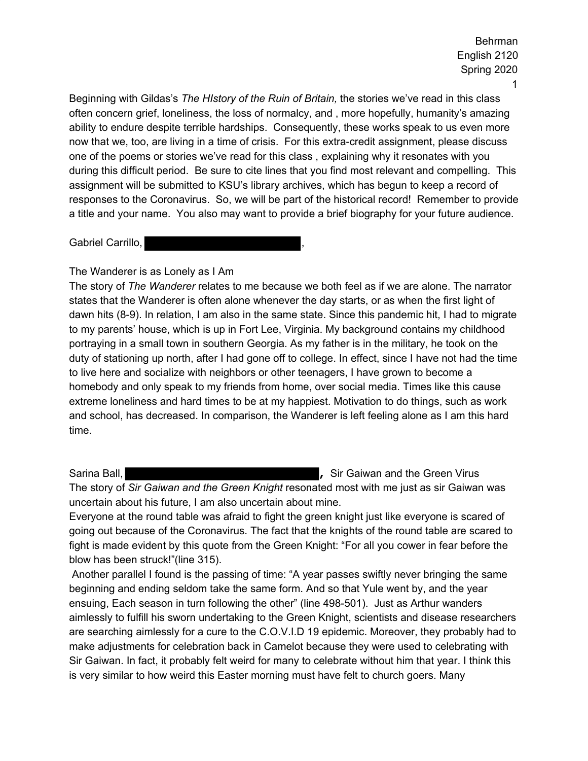Beginning with Gildas's *The HIstory of the Ruin of Britain,* the stories we've read in this class often concern grief, loneliness, the loss of normalcy, and , more hopefully, humanity's amazing ability to endure despite terrible hardships. Consequently, these works speak to us even more now that we, too, are living in a time of crisis. For this extra-credit assignment, please discuss one of the poems or stories we've read for this class , explaining why it resonates with you during this difficult period. Be sure to cite lines that you find most relevant and compelling. This assignment will be submitted to KSU's library archives, which has begun to keep a record of responses to the Coronavirus. So, we will be part of the historical record! Remember to provide a title and your name. You also may want to provide a brief biography for your future audience.

Gabriel Carrillo,

### The Wanderer is as Lonely as I Am

The story of *The Wanderer* relates to me because we both feel as if we are alone. The narrator states that the Wanderer is often alone whenever the day starts, or as when the first light of dawn hits (8-9). In relation, I am also in the same state. Since this pandemic hit, I had to migrate to my parents' house, which is up in Fort Lee, Virginia. My background contains my childhood portraying in a small town in southern Georgia. As my father is in the military, he took on the duty of stationing up north, after I had gone off to college. In effect, since I have not had the time to live here and socialize with neighbors or other teenagers, I have grown to become a homebody and only speak to my friends from home, over social media. Times like this cause extreme loneliness and hard times to be at my happiest. Motivation to do things, such as work and school, has decreased. In comparison, the Wanderer is left feeling alone as I am this hard time.

Sarina Ball, *Sarina Ball,* **, Sir Gaiwan and the Green Virus , Sir Gaiwan and the Green Virus** The story of *Sir Gaiwan and the Green Knight* resonated most with me just as sir Gaiwan was uncertain about his future, I am also uncertain about mine.

Everyone at the round table was afraid to fight the green knight just like everyone is scared of going out because of the Coronavirus. The fact that the knights of the round table are scared to fight is made evident by this quote from the Green Knight: "For all you cower in fear before the blow has been struck!"(line 315).

 Another parallel I found is the passing of time: "A year passes swiftly never bringing the same beginning and ending seldom take the same form. And so that Yule went by, and the year ensuing, Each season in turn following the other" (line 498-501). Just as Arthur wanders aimlessly to fulfill his sworn undertaking to the Green Knight, scientists and disease researchers are searching aimlessly for a cure to the C.O.V.I.D 19 epidemic. Moreover, they probably had to make adjustments for celebration back in Camelot because they were used to celebrating with Sir Gaiwan. In fact, it probably felt weird for many to celebrate without him that year. I think this is very similar to how weird this Easter morning must have felt to church goers. Many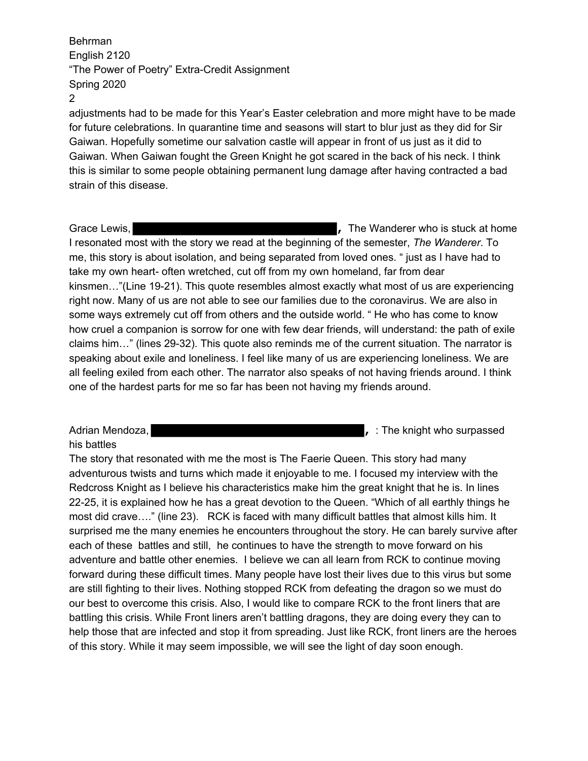adjustments had to be made for this Year's Easter celebration and more might have to be made for future celebrations. In quarantine time and seasons will start to blur just as they did for Sir Gaiwan. Hopefully sometime our salvation castle will appear in front of us just as it did to Gaiwan. When Gaiwan fought the Green Knight he got scared in the back of his neck. I think this is similar to some people obtaining permanent lung damage after having contracted a bad strain of this disease.

Grace Lewis, **Fig. 2.1. <b>Contract at all and**  $\alpha$  and  $\alpha$  are Wanderer who is stuck at home I resonated most with the story we read at the beginning of the semester, *The Wanderer*. To me, this story is about isolation, and being separated from loved ones. " just as I have had to take my own heart- often wretched, cut off from my own homeland, far from dear kinsmen…"(Line 19-21). This quote resembles almost exactly what most of us are experiencing right now. Many of us are not able to see our families due to the coronavirus. We are also in some ways extremely cut off from others and the outside world. " He who has come to know how cruel a companion is sorrow for one with few dear friends, will understand: the path of exile claims him…" (lines 29-32). This quote also reminds me of the current situation. The narrator is speaking about exile and loneliness. I feel like many of us are experiencing loneliness. We are all feeling exiled from each other. The narrator also speaks of not having friends around. I think one of the hardest parts for me so far has been not having my friends around.

his battles

Adrian Mendoza, *Adrian Mendoza,* **,** *i n i**i* **<b>***i i i i i i i i i i i i i i i i i i i ii ii ii iii iii iii iii iii iii* 

The story that resonated with me the most is The Faerie Queen. This story had many adventurous twists and turns which made it enjoyable to me. I focused my interview with the Redcross Knight as I believe his characteristics make him the great knight that he is. In lines 22-25, it is explained how he has a great devotion to the Queen. "Which of all earthly things he most did crave…." (line 23). RCK is faced with many difficult battles that almost kills him. It surprised me the many enemies he encounters throughout the story. He can barely survive after each of these battles and still, he continues to have the strength to move forward on his adventure and battle other enemies. I believe we can all learn from RCK to continue moving forward during these difficult times. Many people have lost their lives due to this virus but some are still fighting to their lives. Nothing stopped RCK from defeating the dragon so we must do our best to overcome this crisis. Also, I would like to compare RCK to the front liners that are battling this crisis. While Front liners aren't battling dragons, they are doing every they can to help those that are infected and stop it from spreading. Just like RCK, front liners are the heroes of this story. While it may seem impossible, we will see the light of day soon enough.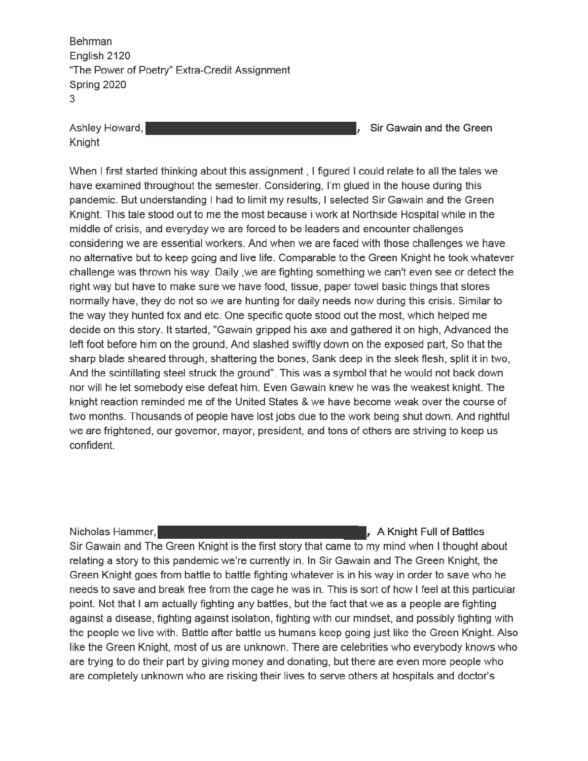Ashley Howard, Knight

Sir Gawain and the Green

When I first started thinking about this assignment, I figured I could relate to all the tales we have examined throughout the semester. Considering, I'm glued in the house during this pandemic. But understanding I had to limit my results, I selected Sir Gawain and the Green Knight. This tale stood out to me the most because i work at Northside Hospital while in the middle of crisis, and everyday we are forced to be leaders and encounter challenges considering we are essential workers. And when we are faced with those challenges we have no alternative but to keep going and live life. Comparable to the Green Knight he took whatever challenge was thrown his way. Daily, we are fighting something we can't even see or detect the right way but have to make sure we have food, tissue, paper towel basic things that stores normally have, they do not so we are hunting for daily needs now during this crisis. Similar to the way they hunted fox and etc. One specific quote stood out the most, which helped me decide on this story. It started, "Gawain gripped his axe and gathered it on high, Advanced the left foot before him on the ground, And slashed swiftly down on the exposed part, So that the sharp blade sheared through, shattering the bones, Sank deep in the sleek flesh, split it in two, And the scintillating steel struck the ground". This was a symbol that he would not back down nor will he let somebody else defeat him. Even Gawain knew he was the weakest knight. The knight reaction reminded me of the United States & we have become weak over the course of two months. Thousands of people have lost jobs due to the work being shut down. And rightful we are frightened, our governor, mayor, president, and tons of others are striving to keep us confident.

Nicholas Hammer,

A Knight Full of Battles Sir Gawain and The Green Knight is the first story that came to my mind when I thought about relating a story to this pandemic we're currently in. In Sir Gawain and The Green Knight, the Green Knight goes from battle to battle fighting whatever is in his way in order to save who he needs to save and break free from the cage he was in. This is sort of how I feel at this particular point. Not that I am actually fighting any battles, but the fact that we as a people are fighting against a disease, fighting against isolation, fighting with our mindset, and possibly fighting with the people we live with. Battle after battle us humans keep going just like the Green Knight. Also like the Green Knight, most of us are unknown. There are celebrities who everybody knows who are trying to do their part by giving money and donating, but there are even more people who are completely unknown who are risking their lives to serve others at hospitals and doctor's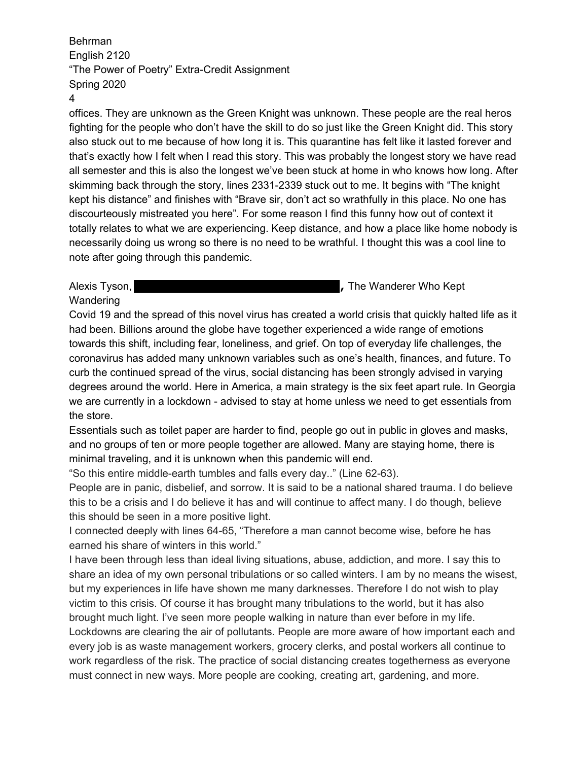#### 4

offices. They are unknown as the Green Knight was unknown. These people are the real heros fighting for the people who don't have the skill to do so just like the Green Knight did. This story also stuck out to me because of how long it is. This quarantine has felt like it lasted forever and that's exactly how I felt when I read this story. This was probably the longest story we have read all semester and this is also the longest we've been stuck at home in who knows how long. After skimming back through the story, lines 2331-2339 stuck out to me. It begins with "The knight kept his distance" and finishes with "Brave sir, don't act so wrathfully in this place. No one has discourteously mistreated you here". For some reason I find this funny how out of context it totally relates to what we are experiencing. Keep distance, and how a place like home nobody is necessarily doing us wrong so there is no need to be wrathful. I thought this was a cool line to note after going through this pandemic.

## Alexis Tyson, **Alexis Tyson,** *Alexis* The Wanderer Who Kept **Wandering**

Covid 19 and the spread of this novel virus has created a world crisis that quickly halted life as it had been. Billions around the globe have together experienced a wide range of emotions towards this shift, including fear, loneliness, and grief. On top of everyday life challenges, the coronavirus has added many unknown variables such as one's health, finances, and future. To curb the continued spread of the virus, social distancing has been strongly advised in varying degrees around the world. Here in America, a main strategy is the six feet apart rule. In Georgia we are currently in a lockdown - advised to stay at home unless we need to get essentials from the store.

Essentials such as toilet paper are harder to find, people go out in public in gloves and masks, and no groups of ten or more people together are allowed. Many are staying home, there is minimal traveling, and it is unknown when this pandemic will end.

"So this entire middle-earth tumbles and falls every day.." (Line 62-63).

People are in panic, disbelief, and sorrow. It is said to be a national shared trauma. I do believe this to be a crisis and I do believe it has and will continue to affect many. I do though, believe this should be seen in a more positive light.

I connected deeply with lines 64-65, "Therefore a man cannot become wise, before he has earned his share of winters in this world."

I have been through less than ideal living situations, abuse, addiction, and more. I say this to share an idea of my own personal tribulations or so called winters. I am by no means the wisest, but my experiences in life have shown me many darknesses. Therefore I do not wish to play victim to this crisis. Of course it has brought many tribulations to the world, but it has also brought much light. I've seen more people walking in nature than ever before in my life. Lockdowns are clearing the air of pollutants. People are more aware of how important each and every job is as waste management workers, grocery clerks, and postal workers all continue to work regardless of the risk. The practice of social distancing creates togetherness as everyone must connect in new ways. More people are cooking, creating art, gardening, and more.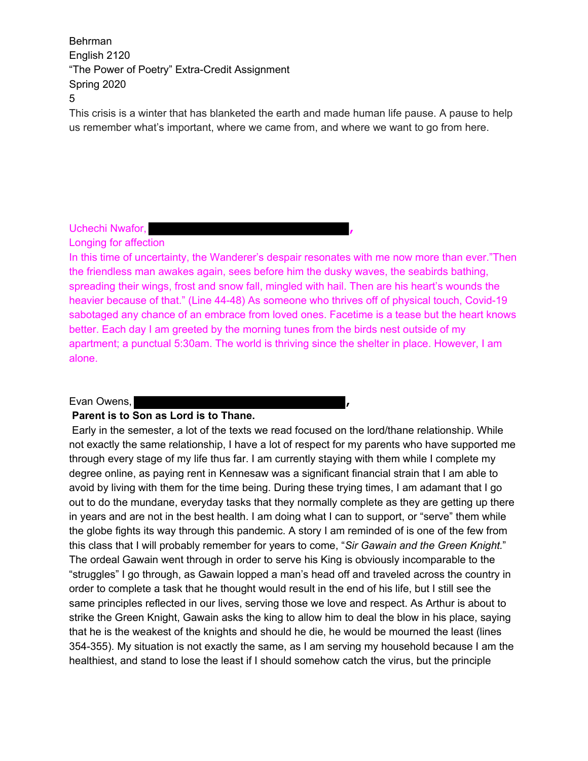This crisis is a winter that has blanketed the earth and made human life pause. A pause to help us remember what's important, where we came from, and where we want to go from here.

# Uchechi Nwafor, **,**

Longing for affection

In this time of uncertainty, the Wanderer's despair resonates with me now more than ever."Then the friendless man awakes again, sees before him the dusky waves, the seabirds bathing, spreading their wings, frost and snow fall, mingled with hail. Then are his heart's wounds the heavier because of that." (Line 44-48) As someone who thrives off of physical touch, Covid-19 sabotaged any chance of an embrace from loved ones. Facetime is a tease but the heart knows better. Each day I am greeted by the morning tunes from the birds nest outside of my apartment; a punctual 5:30am. The world is thriving since the shelter in place. However, I am alone.

#### Evan Owens, **,**

#### **Parent is to Son as Lord is to Thane.**

 Early in the semester, a lot of the texts we read focused on the lord/thane relationship. While not exactly the same relationship, I have a lot of respect for my parents who have supported me through every stage of my life thus far. I am currently staying with them while I complete my degree online, as paying rent in Kennesaw was a significant financial strain that I am able to avoid by living with them for the time being. During these trying times, I am adamant that I go out to do the mundane, everyday tasks that they normally complete as they are getting up there in years and are not in the best health. I am doing what I can to support, or "serve" them while the globe fights its way through this pandemic. A story I am reminded of is one of the few from this class that I will probably remember for years to come, "*Sir Gawain and the Green Knight.*" The ordeal Gawain went through in order to serve his King is obviously incomparable to the "struggles" I go through, as Gawain lopped a man's head off and traveled across the country in order to complete a task that he thought would result in the end of his life, but I still see the same principles reflected in our lives, serving those we love and respect. As Arthur is about to strike the Green Knight, Gawain asks the king to allow him to deal the blow in his place, saying that he is the weakest of the knights and should he die, he would be mourned the least (lines 354-355). My situation is not exactly the same, as I am serving my household because I am the healthiest, and stand to lose the least if I should somehow catch the virus, but the principle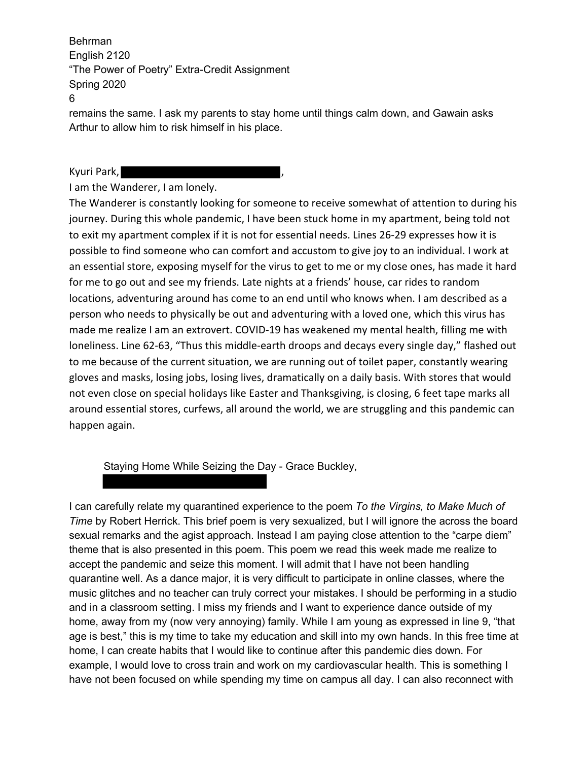remains the same. I ask my parents to stay home until things calm down, and Gawain asks Arthur to allow him to risk himself in his place.

Kyuri Park,

I am the Wanderer, I am lonely.

The Wanderer is constantly looking for someone to receive somewhat of attention to during his journey. During this whole pandemic, I have been stuck home in my apartment, being told not to exit my apartment complex if it is not for essential needs. Lines 26-29 expresses how it is possible to find someone who can comfort and accustom to give joy to an individual. I work at an essential store, exposing myself for the virus to get to me or my close ones, has made it hard for me to go out and see my friends. Late nights at a friends' house, car rides to random locations, adventuring around has come to an end until who knows when. I am described as a person who needs to physically be out and adventuring with a loved one, which this virus has made me realize I am an extrovert. COVID-19 has weakened my mental health, filling me with loneliness. Line 62-63, "Thus this middle-earth droops and decays every single day," flashed out to me because of the current situation, we are running out of toilet paper, constantly wearing gloves and masks, losing jobs, losing lives, dramatically on a daily basis. With stores that would not even close on special holidays like Easter and Thanksgiving, is closing, 6 feet tape marks all around essential stores, curfews, all around the world, we are struggling and this pandemic can happen again.

Staying Home While Seizing the Day - Grace Buckley,

I can carefully relate my quarantined experience to the poem *To the Virgins, to Make Much of Time* by Robert Herrick. This brief poem is very sexualized, but I will ignore the across the board sexual remarks and the agist approach. Instead I am paying close attention to the "carpe diem" theme that is also presented in this poem. This poem we read this week made me realize to accept the pandemic and seize this moment. I will admit that I have not been handling quarantine well. As a dance major, it is very difficult to participate in online classes, where the music glitches and no teacher can truly correct your mistakes. I should be performing in a studio and in a classroom setting. I miss my friends and I want to experience dance outside of my home, away from my (now very annoying) family. While I am young as expressed in line 9, "that age is best," this is my time to take my education and skill into my own hands. In this free time at home, I can create habits that I would like to continue after this pandemic dies down. For example, I would love to cross train and work on my cardiovascular health. This is something I have not been focused on while spending my time on campus all day. I can also reconnect with